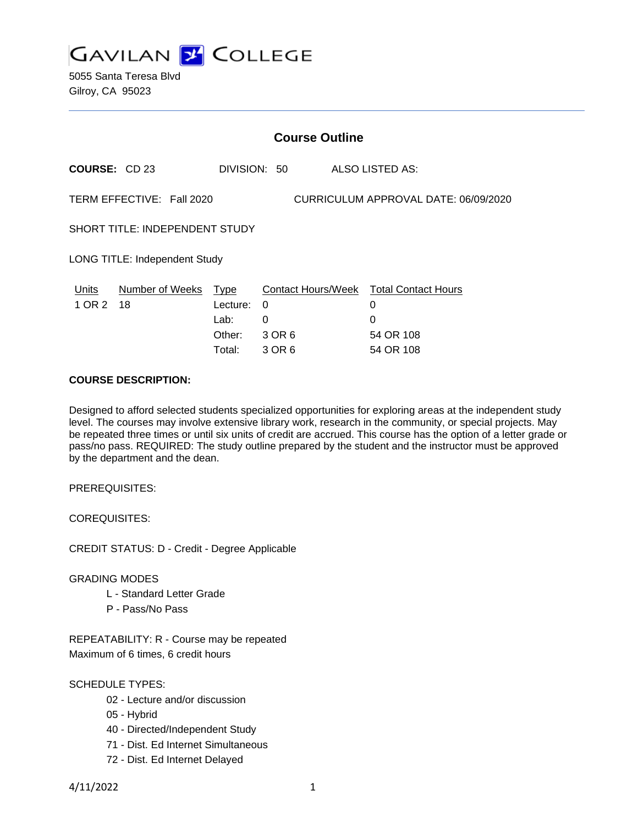

5055 Santa Teresa Blvd Gilroy, CA 95023

| <b>Course Outline</b>                                             |                            |                                      |                            |                                                                            |
|-------------------------------------------------------------------|----------------------------|--------------------------------------|----------------------------|----------------------------------------------------------------------------|
| <b>COURSE: CD 23</b>                                              |                            |                                      | DIVISION: 50               | ALSO LISTED AS:                                                            |
| TERM EFFECTIVE: Fall 2020<br>CURRICULUM APPROVAL DATE: 06/09/2020 |                            |                                      |                            |                                                                            |
| <b>SHORT TITLE: INDEPENDENT STUDY</b>                             |                            |                                      |                            |                                                                            |
| <b>LONG TITLE: Independent Study</b>                              |                            |                                      |                            |                                                                            |
| Units<br>1 OR 2                                                   | Number of Weeks Type<br>18 | Lecture:<br>Lab:<br>Other:<br>Total: | 0<br>0<br>3 OR 6<br>3 OR 6 | Contact Hours/Week Total Contact Hours<br>0<br>0<br>54 OR 108<br>54 OR 108 |
|                                                                   |                            |                                      |                            |                                                                            |

### **COURSE DESCRIPTION:**

Designed to afford selected students specialized opportunities for exploring areas at the independent study level. The courses may involve extensive library work, research in the community, or special projects. May be repeated three times or until six units of credit are accrued. This course has the option of a letter grade or pass/no pass. REQUIRED: The study outline prepared by the student and the instructor must be approved by the department and the dean.

PREREQUISITES:

COREQUISITES:

CREDIT STATUS: D - Credit - Degree Applicable

### GRADING MODES

- L Standard Letter Grade
- P Pass/No Pass

REPEATABILITY: R - Course may be repeated Maximum of 6 times, 6 credit hours

### SCHEDULE TYPES:

- 02 Lecture and/or discussion
- 05 Hybrid
- 40 Directed/Independent Study
- 71 Dist. Ed Internet Simultaneous
- 72 Dist. Ed Internet Delayed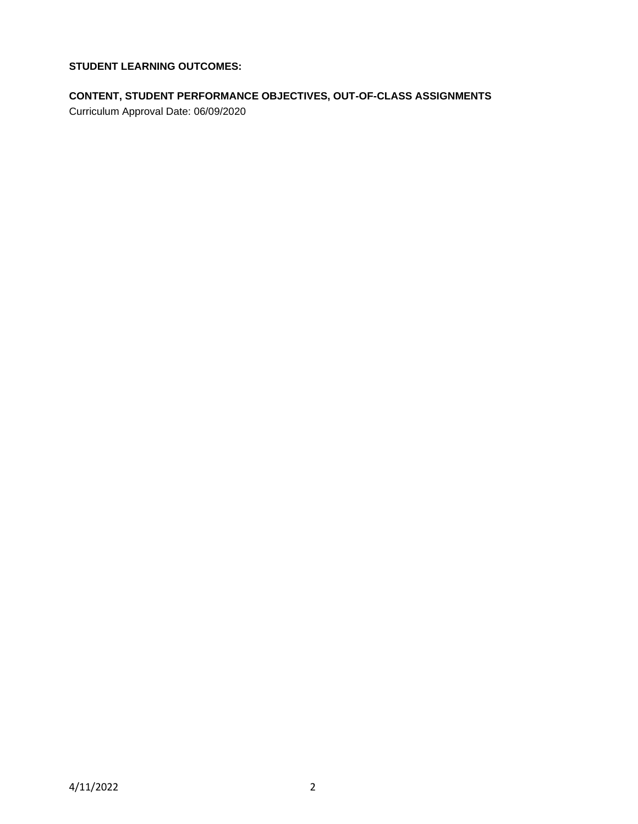**STUDENT LEARNING OUTCOMES:**

# **CONTENT, STUDENT PERFORMANCE OBJECTIVES, OUT-OF-CLASS ASSIGNMENTS**

Curriculum Approval Date: 06/09/2020